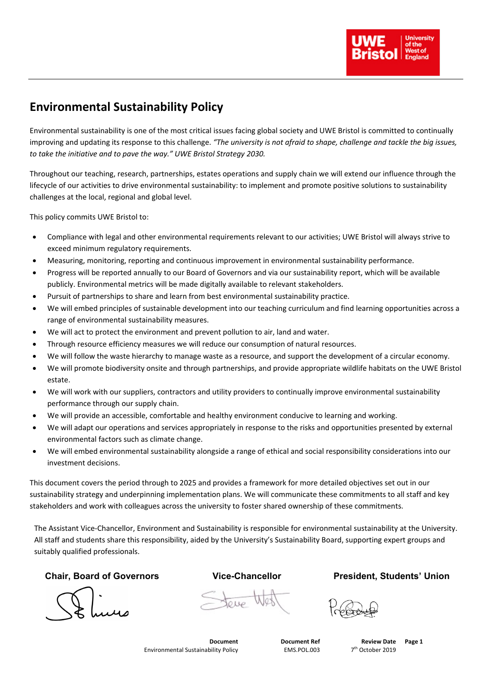## **Environmental Sustainability Policy**

Environmental sustainability is one of the most critical issues facing global society and UWE Bristol is committed to continually improving and updating its response to this challenge. *"The university is not afraid to shape, challenge and tackle the big issues, to take the initiative and to pave the way." UWE Bristol Strategy 2030.*

Throughout our teaching, research, partnerships, estates operations and supply chain we will extend our influence through the lifecycle of our activities to drive environmental sustainability: to implement and promote positive solutions to sustainability challenges at the local, regional and global level.

This policy commits UWE Bristol to:

- Compliance with legal and other environmental requirements relevant to our activities; UWE Bristol will always strive to exceed minimum regulatory requirements.
- Measuring, monitoring, reporting and continuous improvement in environmental sustainability performance.
- Progress will be reported annually to our Board of Governors and via our sustainability report, which will be available publicly. Environmental metrics will be made digitally available to relevant stakeholders.
- Pursuit of partnerships to share and learn from best environmental sustainability practice.
- We will embed principles of sustainable development into our teaching curriculum and find learning opportunities across a range of environmental sustainability measures.
- We will act to protect the environment and prevent pollution to air, land and water.
- Through resource efficiency measures we will reduce our consumption of natural resources.
- We will follow the waste hierarchy to manage waste as a resource, and support the development of a circular economy.
- We will promote biodiversity onsite and through partnerships, and provide appropriate wildlife habitats on the UWE Bristol estate.
- We will work with our suppliers, contractors and utility providers to continually improve environmental sustainability performance through our supply chain.
- We will provide an accessible, comfortable and healthy environment conducive to learning and working.
- We will adapt our operations and services appropriately in response to the risks and opportunities presented by external environmental factors such as climate change.
- We will embed environmental sustainability alongside a range of ethical and social responsibility considerations into our investment decisions.

This document covers the period through to 2025 and provides a framework for more detailed objectives set out in our sustainability strategy and underpinning implementation plans. We will communicate these commitments to all staff and key stakeholders and work with colleagues across the university to foster shared ownership of these commitments.

The Assistant Vice-Chancellor, Environment and Sustainability is responsible for environmental sustainability at the University. All staff and students share this responsibility, aided by the University's Sustainability Board, supporting expert groups and suitably qualified professionals.

**Chair, Board of Governors Vice-Chancellor President, Students' Union**

Steve West

|                                     | <b>Document Ref</b> | <b>Review Date</b>      | Page |
|-------------------------------------|---------------------|-------------------------|------|
| Environmental Sustainability Policy | EMS.POL.003         | 2019<br>741<br>`)rtoher |      |